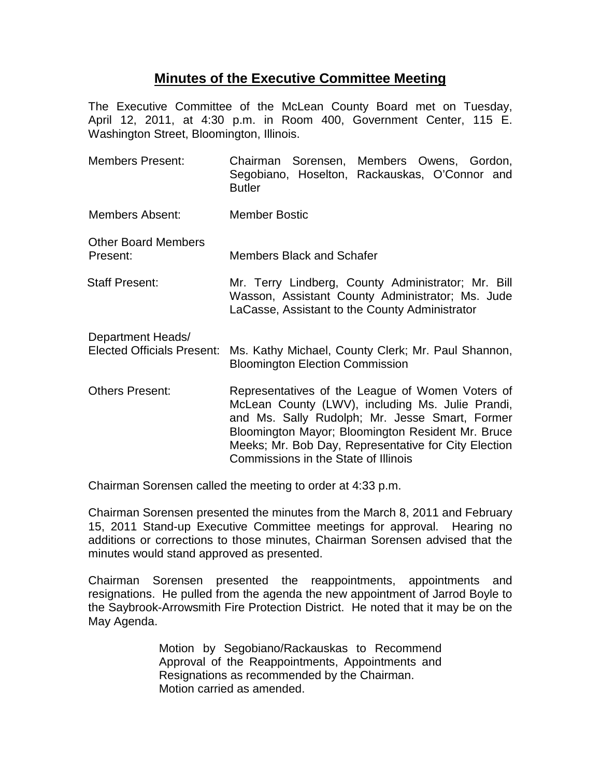## **Minutes of the Executive Committee Meeting**

The Executive Committee of the McLean County Board met on Tuesday, April 12, 2011, at 4:30 p.m. in Room 400, Government Center, 115 E. Washington Street, Bloomington, Illinois.

Members Present: Chairman Sorensen, Members Owens, Gordon, Segobiano, Hoselton, Rackauskas, O'Connor and **Butler** Members Absent: Member Bostic Other Board Members<br>Present: Members Black and Schafer Staff Present: Mr. Terry Lindberg, County Administrator; Mr. Bill Wasson, Assistant County Administrator; Ms. Jude LaCasse, Assistant to the County Administrator Department Heads/ Elected Officials Present: Ms. Kathy Michael, County Clerk; Mr. Paul Shannon, Bloomington Election Commission Others Present: Representatives of the League of Women Voters of McLean County (LWV), including Ms. Julie Prandi, and Ms. Sally Rudolph; Mr. Jesse Smart, Former Bloomington Mayor; Bloomington Resident Mr. Bruce Meeks; Mr. Bob Day, Representative for City Election Commissions in the State of Illinois

Chairman Sorensen called the meeting to order at 4:33 p.m.

Chairman Sorensen presented the minutes from the March 8, 2011 and February 15, 2011 Stand-up Executive Committee meetings for approval. Hearing no additions or corrections to those minutes, Chairman Sorensen advised that the minutes would stand approved as presented.

Chairman Sorensen presented the reappointments, appointments and resignations. He pulled from the agenda the new appointment of Jarrod Boyle to the Saybrook-Arrowsmith Fire Protection District. He noted that it may be on the May Agenda.

> Motion by Segobiano/Rackauskas to Recommend Approval of the Reappointments, Appointments and Resignations as recommended by the Chairman. Motion carried as amended.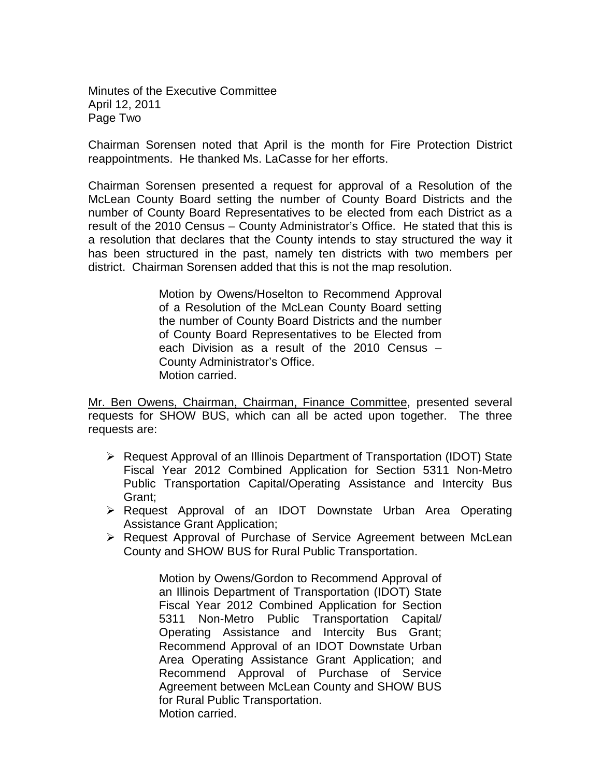Minutes of the Executive Committee April 12, 2011 Page Two

Chairman Sorensen noted that April is the month for Fire Protection District reappointments. He thanked Ms. LaCasse for her efforts.

Chairman Sorensen presented a request for approval of a Resolution of the McLean County Board setting the number of County Board Districts and the number of County Board Representatives to be elected from each District as a result of the 2010 Census – County Administrator's Office. He stated that this is a resolution that declares that the County intends to stay structured the way it has been structured in the past, namely ten districts with two members per district. Chairman Sorensen added that this is not the map resolution.

> Motion by Owens/Hoselton to Recommend Approval of a Resolution of the McLean County Board setting the number of County Board Districts and the number of County Board Representatives to be Elected from each Division as a result of the 2010 Census – County Administrator's Office. Motion carried.

Mr. Ben Owens, Chairman, Chairman, Finance Committee, presented several requests for SHOW BUS, which can all be acted upon together. The three requests are:

- $\triangleright$  Request Approval of an Illinois Department of Transportation (IDOT) State Fiscal Year 2012 Combined Application for Section 5311 Non-Metro Public Transportation Capital/Operating Assistance and Intercity Bus Grant;
- Request Approval of an IDOT Downstate Urban Area Operating Assistance Grant Application;
- Request Approval of Purchase of Service Agreement between McLean County and SHOW BUS for Rural Public Transportation.

Motion by Owens/Gordon to Recommend Approval of an Illinois Department of Transportation (IDOT) State Fiscal Year 2012 Combined Application for Section 5311 Non-Metro Public Transportation Capital/ Operating Assistance and Intercity Bus Grant; Recommend Approval of an IDOT Downstate Urban Area Operating Assistance Grant Application; and Recommend Approval of Purchase of Service Agreement between McLean County and SHOW BUS for Rural Public Transportation. Motion carried.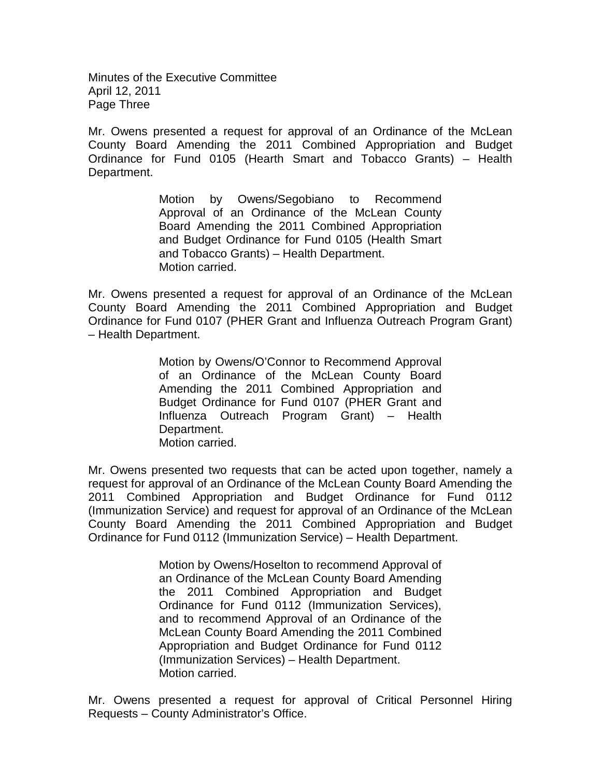Minutes of the Executive Committee April 12, 2011 Page Three

Mr. Owens presented a request for approval of an Ordinance of the McLean County Board Amending the 2011 Combined Appropriation and Budget Ordinance for Fund 0105 (Hearth Smart and Tobacco Grants) – Health Department.

> Motion by Owens/Segobiano to Recommend Approval of an Ordinance of the McLean County Board Amending the 2011 Combined Appropriation and Budget Ordinance for Fund 0105 (Health Smart and Tobacco Grants) – Health Department. Motion carried.

Mr. Owens presented a request for approval of an Ordinance of the McLean County Board Amending the 2011 Combined Appropriation and Budget Ordinance for Fund 0107 (PHER Grant and Influenza Outreach Program Grant) – Health Department.

> Motion by Owens/O'Connor to Recommend Approval of an Ordinance of the McLean County Board Amending the 2011 Combined Appropriation and Budget Ordinance for Fund 0107 (PHER Grant and Influenza Outreach Program Grant) – Health Department. Motion carried.

Mr. Owens presented two requests that can be acted upon together, namely a request for approval of an Ordinance of the McLean County Board Amending the 2011 Combined Appropriation and Budget Ordinance for Fund 0112 (Immunization Service) and request for approval of an Ordinance of the McLean County Board Amending the 2011 Combined Appropriation and Budget Ordinance for Fund 0112 (Immunization Service) – Health Department.

> Motion by Owens/Hoselton to recommend Approval of an Ordinance of the McLean County Board Amending the 2011 Combined Appropriation and Budget Ordinance for Fund 0112 (Immunization Services), and to recommend Approval of an Ordinance of the McLean County Board Amending the 2011 Combined Appropriation and Budget Ordinance for Fund 0112 (Immunization Services) – Health Department. Motion carried.

Mr. Owens presented a request for approval of Critical Personnel Hiring Requests – County Administrator's Office.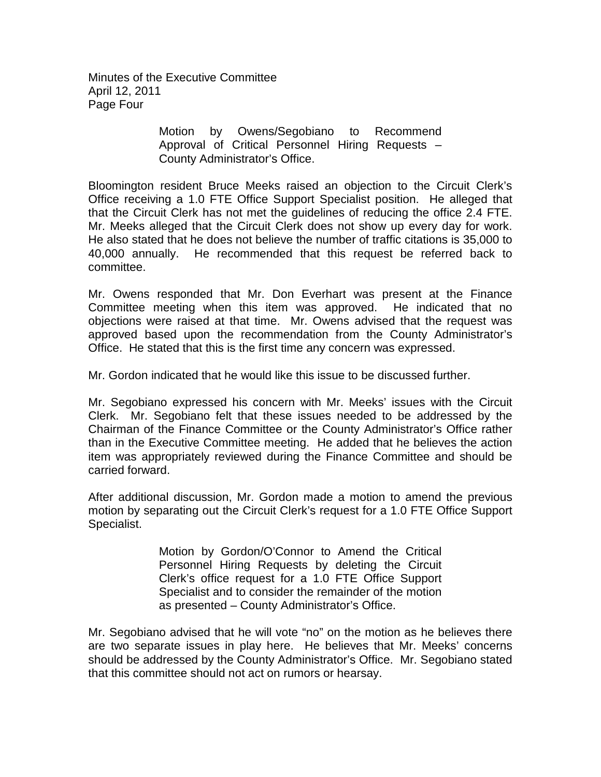Minutes of the Executive Committee April 12, 2011 Page Four

> Motion by Owens/Segobiano to Recommend Approval of Critical Personnel Hiring Requests – County Administrator's Office.

Bloomington resident Bruce Meeks raised an objection to the Circuit Clerk's Office receiving a 1.0 FTE Office Support Specialist position. He alleged that that the Circuit Clerk has not met the guidelines of reducing the office 2.4 FTE. Mr. Meeks alleged that the Circuit Clerk does not show up every day for work. He also stated that he does not believe the number of traffic citations is 35,000 to 40,000 annually. He recommended that this request be referred back to committee.

Mr. Owens responded that Mr. Don Everhart was present at the Finance Committee meeting when this item was approved. He indicated that no objections were raised at that time. Mr. Owens advised that the request was approved based upon the recommendation from the County Administrator's Office. He stated that this is the first time any concern was expressed.

Mr. Gordon indicated that he would like this issue to be discussed further.

Mr. Segobiano expressed his concern with Mr. Meeks' issues with the Circuit Clerk. Mr. Segobiano felt that these issues needed to be addressed by the Chairman of the Finance Committee or the County Administrator's Office rather than in the Executive Committee meeting. He added that he believes the action item was appropriately reviewed during the Finance Committee and should be carried forward.

After additional discussion, Mr. Gordon made a motion to amend the previous motion by separating out the Circuit Clerk's request for a 1.0 FTE Office Support Specialist.

> Motion by Gordon/O'Connor to Amend the Critical Personnel Hiring Requests by deleting the Circuit Clerk's office request for a 1.0 FTE Office Support Specialist and to consider the remainder of the motion as presented – County Administrator's Office.

Mr. Segobiano advised that he will vote "no" on the motion as he believes there are two separate issues in play here. He believes that Mr. Meeks' concerns should be addressed by the County Administrator's Office. Mr. Segobiano stated that this committee should not act on rumors or hearsay.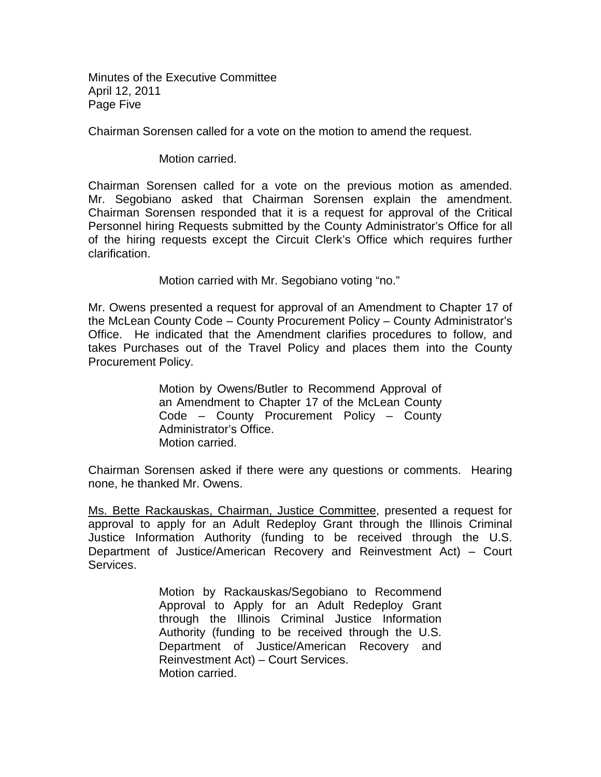Minutes of the Executive Committee April 12, 2011 Page Five

Chairman Sorensen called for a vote on the motion to amend the request.

Motion carried.

Chairman Sorensen called for a vote on the previous motion as amended. Mr. Segobiano asked that Chairman Sorensen explain the amendment. Chairman Sorensen responded that it is a request for approval of the Critical Personnel hiring Requests submitted by the County Administrator's Office for all of the hiring requests except the Circuit Clerk's Office which requires further clarification.

Motion carried with Mr. Segobiano voting "no."

Mr. Owens presented a request for approval of an Amendment to Chapter 17 of the McLean County Code – County Procurement Policy – County Administrator's Office. He indicated that the Amendment clarifies procedures to follow, and takes Purchases out of the Travel Policy and places them into the County Procurement Policy.

> Motion by Owens/Butler to Recommend Approval of an Amendment to Chapter 17 of the McLean County Code – County Procurement Policy – County Administrator's Office. Motion carried.

Chairman Sorensen asked if there were any questions or comments. Hearing none, he thanked Mr. Owens.

Ms. Bette Rackauskas, Chairman, Justice Committee, presented a request for approval to apply for an Adult Redeploy Grant through the Illinois Criminal Justice Information Authority (funding to be received through the U.S. Department of Justice/American Recovery and Reinvestment Act) – Court Services.

> Motion by Rackauskas/Segobiano to Recommend Approval to Apply for an Adult Redeploy Grant through the Illinois Criminal Justice Information Authority (funding to be received through the U.S. Department of Justice/American Recovery and Reinvestment Act) – Court Services. Motion carried.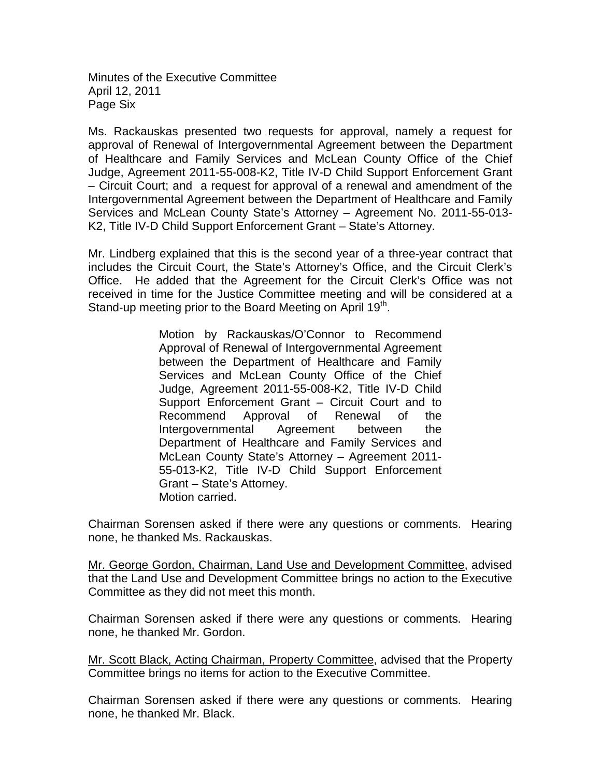Minutes of the Executive Committee April 12, 2011 Page Six

Ms. Rackauskas presented two requests for approval, namely a request for approval of Renewal of Intergovernmental Agreement between the Department of Healthcare and Family Services and McLean County Office of the Chief Judge, Agreement 2011-55-008-K2, Title IV-D Child Support Enforcement Grant – Circuit Court; and a request for approval of a renewal and amendment of the Intergovernmental Agreement between the Department of Healthcare and Family Services and McLean County State's Attorney – Agreement No. 2011-55-013- K2, Title IV-D Child Support Enforcement Grant – State's Attorney.

Mr. Lindberg explained that this is the second year of a three-year contract that includes the Circuit Court, the State's Attorney's Office, and the Circuit Clerk's Office. He added that the Agreement for the Circuit Clerk's Office was not received in time for the Justice Committee meeting and will be considered at a Stand-up meeting prior to the Board Meeting on April 19<sup>th</sup>.

> Motion by Rackauskas/O'Connor to Recommend Approval of Renewal of Intergovernmental Agreement between the Department of Healthcare and Family Services and McLean County Office of the Chief Judge, Agreement 2011-55-008-K2, Title IV-D Child Support Enforcement Grant – Circuit Court and to Recommend Approval of Renewal of the Intergovernmental Agreement between the Department of Healthcare and Family Services and McLean County State's Attorney – Agreement 2011- 55-013-K2, Title IV-D Child Support Enforcement Grant – State's Attorney. Motion carried.

Chairman Sorensen asked if there were any questions or comments. Hearing none, he thanked Ms. Rackauskas.

Mr. George Gordon, Chairman, Land Use and Development Committee, advised that the Land Use and Development Committee brings no action to the Executive Committee as they did not meet this month.

Chairman Sorensen asked if there were any questions or comments. Hearing none, he thanked Mr. Gordon.

Mr. Scott Black, Acting Chairman, Property Committee, advised that the Property Committee brings no items for action to the Executive Committee.

Chairman Sorensen asked if there were any questions or comments. Hearing none, he thanked Mr. Black.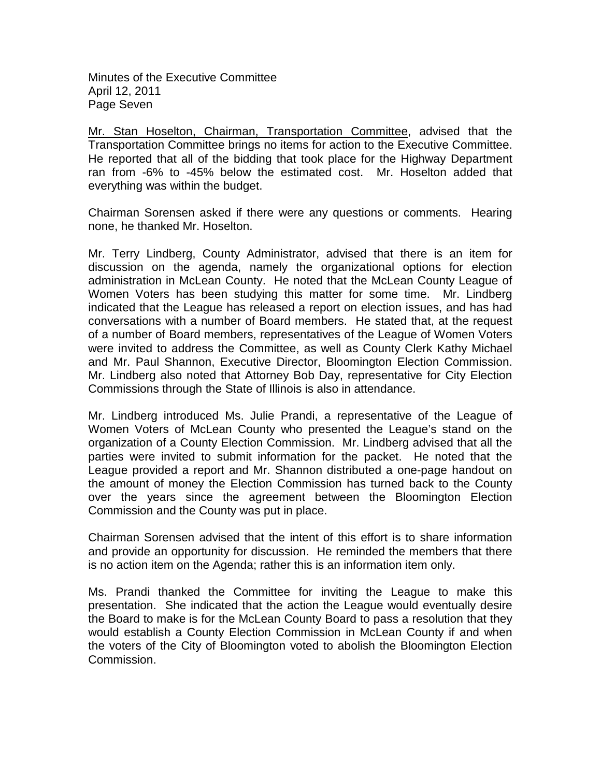Minutes of the Executive Committee April 12, 2011 Page Seven

Mr. Stan Hoselton, Chairman, Transportation Committee, advised that the Transportation Committee brings no items for action to the Executive Committee. He reported that all of the bidding that took place for the Highway Department ran from -6% to -45% below the estimated cost. Mr. Hoselton added that everything was within the budget.

Chairman Sorensen asked if there were any questions or comments. Hearing none, he thanked Mr. Hoselton.

Mr. Terry Lindberg, County Administrator, advised that there is an item for discussion on the agenda, namely the organizational options for election administration in McLean County. He noted that the McLean County League of Women Voters has been studying this matter for some time. Mr. Lindberg indicated that the League has released a report on election issues, and has had conversations with a number of Board members. He stated that, at the request of a number of Board members, representatives of the League of Women Voters were invited to address the Committee, as well as County Clerk Kathy Michael and Mr. Paul Shannon, Executive Director, Bloomington Election Commission. Mr. Lindberg also noted that Attorney Bob Day, representative for City Election Commissions through the State of Illinois is also in attendance.

Mr. Lindberg introduced Ms. Julie Prandi, a representative of the League of Women Voters of McLean County who presented the League's stand on the organization of a County Election Commission. Mr. Lindberg advised that all the parties were invited to submit information for the packet. He noted that the League provided a report and Mr. Shannon distributed a one-page handout on the amount of money the Election Commission has turned back to the County over the years since the agreement between the Bloomington Election Commission and the County was put in place.

Chairman Sorensen advised that the intent of this effort is to share information and provide an opportunity for discussion. He reminded the members that there is no action item on the Agenda; rather this is an information item only.

Ms. Prandi thanked the Committee for inviting the League to make this presentation. She indicated that the action the League would eventually desire the Board to make is for the McLean County Board to pass a resolution that they would establish a County Election Commission in McLean County if and when the voters of the City of Bloomington voted to abolish the Bloomington Election Commission.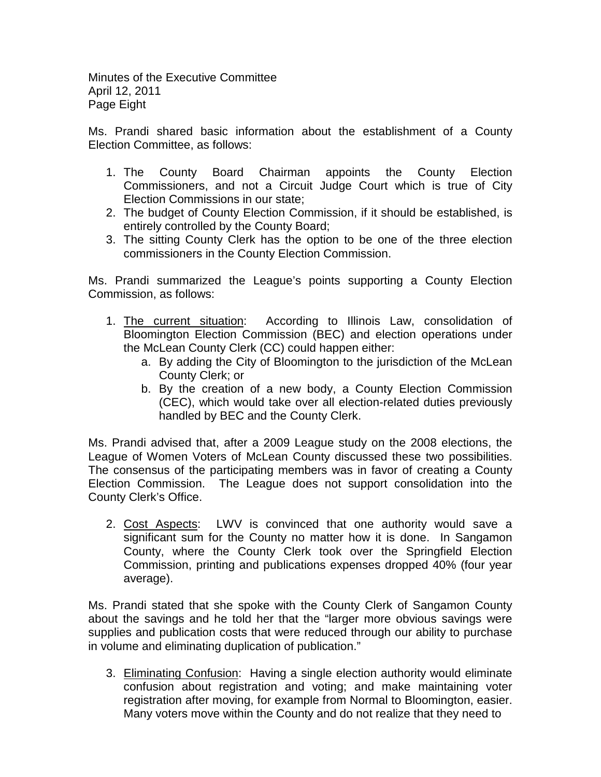Minutes of the Executive Committee April 12, 2011 Page Eight

Ms. Prandi shared basic information about the establishment of a County Election Committee, as follows:

- 1. The County Board Chairman appoints the County Election Commissioners, and not a Circuit Judge Court which is true of City Election Commissions in our state;
- 2. The budget of County Election Commission, if it should be established, is entirely controlled by the County Board;
- 3. The sitting County Clerk has the option to be one of the three election commissioners in the County Election Commission.

Ms. Prandi summarized the League's points supporting a County Election Commission, as follows:

- 1. The current situation : According to Illinois Law, consolidation of Bloomington Election Commission (BEC) and election operations under the McLean County Clerk (CC) could happen either:
	- a. By adding the City of Bloomington to the jurisdiction of the McLean County Clerk; or
	- b. By the creation of a new body, a County Election Commission (CEC), which would take over all election-related duties previously handled by BEC and the County Clerk.

Ms. Prandi advised that, after a 2009 League study on the 2008 elections, the League of Women Voters of McLean County discussed these two possibilities. The consensus of the participating members was in favor of creating a County Election Commission. The League does not support consolidation into the County Clerk's Office.

2. Cost Aspects: LWV is convinced that one authority would save a significant sum for the County no matter how it is done. In Sangamon County, where the County Clerk took over the Springfield Election Commission, printing and publications expenses dropped 40% (four year average).

Ms. Prandi stated that she spoke with the County Clerk of Sangamon County about the savings and he told her that the "larger more obvious savings were supplies and publication costs that were reduced through our ability to purchase in volume and eliminating duplication of publication."

3. Eliminating Confusion: Having a single election authority would eliminate confusion about registration and voting; and make maintaining voter registration after moving, for example from Normal to Bloomington, easier. Many voters move within the County and do not realize that they need to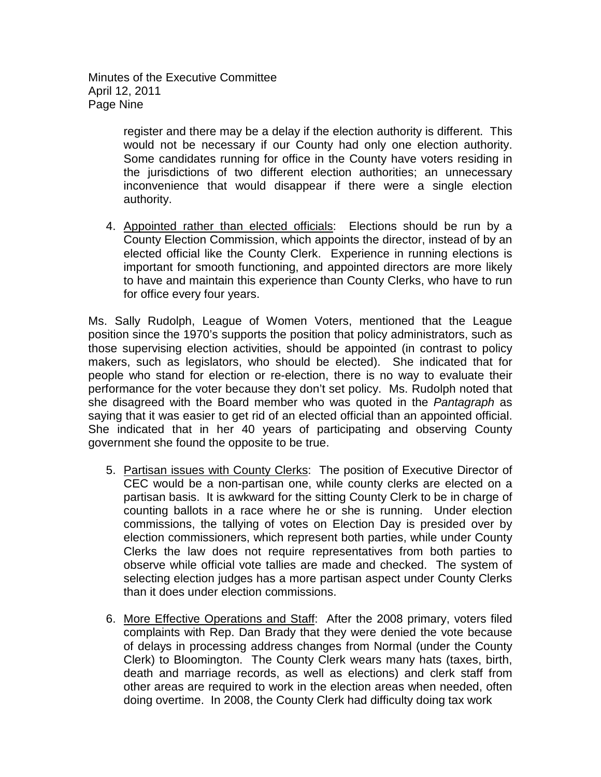Minutes of the Executive Committee April 12, 2011 Page Nine

> register and there may be a delay if the election authority is different. This would not be necessary if our County had only one election authority. Some candidates running for office in the County have voters residing in the jurisdictions of two different election authorities; an unnecessary inconvenience that would disappear if there were a single election authority.

4. Appointed rather than elected officials: Elections should be run by a County Election Commission, which appoints the director, instead of by an elected official like the County Clerk. Experience in running elections is important for smooth functioning, and appointed directors are more likely to have and maintain this experience than County Clerks, who have to run for office every four years.

Ms. Sally Rudolph, League of Women Voters, mentioned that the League position since the 1970's supports the position that policy administrators, such as those supervising election activities, should be appointed (in contrast to policy makers, such as legislators, who should be elected). She indicated that for people who stand for election or re-election, there is no way to evaluate their performance for the voter because they don't set policy. Ms. Rudolph noted that she disagreed with the Board member who was quoted in the *Pantagraph* as saying that it was easier to get rid of an elected official than an appointed official. She indicated that in her 40 years of participating and observing County government she found the opposite to be true.

- 5. Partisan issues with County Clerks: The position of Executive Director of CEC would be a non-partisan one, while county clerks are elected on a partisan basis. It is awkward for the sitting County Clerk to be in charge of counting ballots in a race where he or she is running. Under election commissions, the tallying of votes on Election Day is presided over by election commissioners, which represent both parties, while under County Clerks the law does not require representatives from both parties to observe while official vote tallies are made and checked. The system of selecting election judges has a more partisan aspect under County Clerks than it does under election commissions.
- 6. More Effective Operations and Staff: After the 2008 primary, voters filed complaints with Rep. Dan Brady that they were denied the vote because of delays in processing address changes from Normal (under the County Clerk) to Bloomington. The County Clerk wears many hats (taxes, birth, death and marriage records, as well as elections) and clerk staff from other areas are required to work in the election areas when needed, often doing overtime. In 2008, the County Clerk had difficulty doing tax work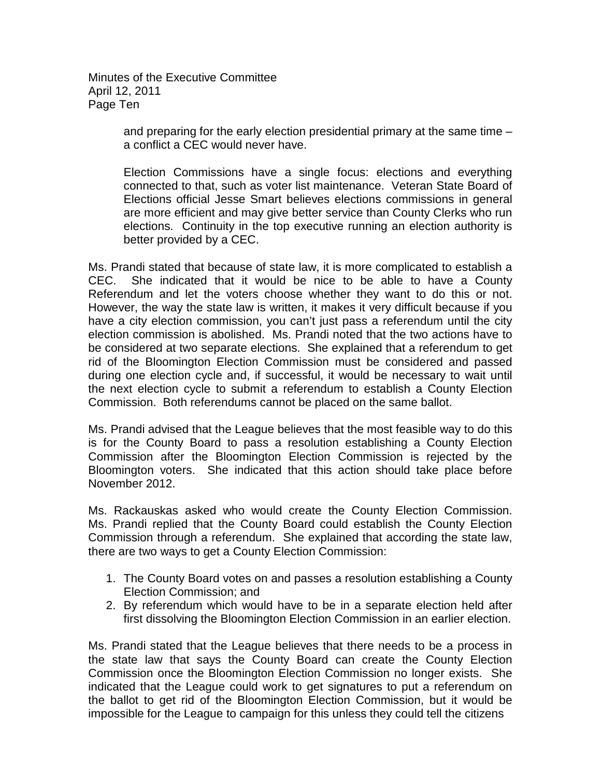Minutes of the Executive Committee April 12, 2011 Page Ten

> and preparing for the early election presidential primary at the same time – a conflict a CEC would never have.

> Election Commissions have a single focus: elections and everything connected to that, such as voter list maintenance. Veteran State Board of Elections official Jesse Smart believes elections commissions in general are more efficient and may give better service than County Clerks who run elections. Continuity in the top executive running an election authority is better provided by a CEC.

Ms. Prandi stated that because of state law, it is more complicated to establish a CEC. She indicated that it would be nice to be able to have a County Referendum and let the voters choose whether they want to do this or not. However, the way the state law is written, it makes it very difficult because if you have a city election commission, you can't just pass a referendum until the city election commission is abolished. Ms. Prandi noted that the two actions have to be considered at two separate elections. She explained that a referendum to get rid of the Bloomington Election Commission must be considered and passed during one election cycle and, if successful, it would be necessary to wait until the next election cycle to submit a referendum to establish a County Election Commission. Both referendums cannot be placed on the same ballot.

Ms. Prandi advised that the League believes that the most feasible way to do this is for the County Board to pass a resolution establishing a County Election Commission after the Bloomington Election Commission is rejected by the Bloomington voters. She indicated that this action should take place before November 2012.

Ms. Rackauskas asked who would create the County Election Commission. Ms. Prandi replied that the County Board could establish the County Election Commission through a referendum. She explained that according the state law, there are two ways to get a County Election Commission:

- 1. The County Board votes on and passes a resolution establishing a County Election Commission; and
- 2. By referendum which would have to be in a separate election held after first dissolving the Bloomington Election Commission in an earlier election.

Ms. Prandi stated that the League believes that there needs to be a process in the state law that says the County Board can create the County Election Commission once the Bloomington Election Commission no longer exists. She indicated that the League could work to get signatures to put a referendum on the ballot to get rid of the Bloomington Election Commission, but it would be impossible for the League to campaign for this unless they could tell the citizens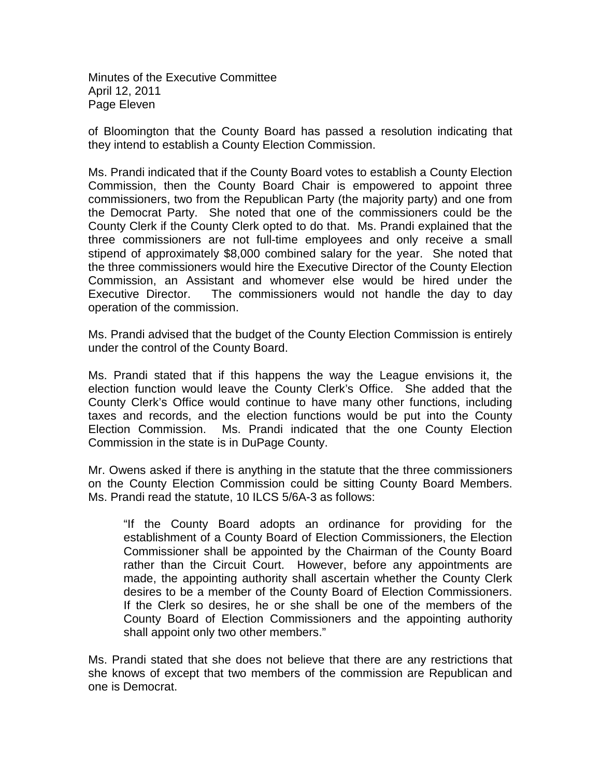Minutes of the Executive Committee April 12, 2011 Page Eleven

of Bloomington that the County Board has passed a resolution indicating that they intend to establish a County Election Commission.

Ms. Prandi indicated that if the County Board votes to establish a County Election Commission, then the County Board Chair is empowered to appoint three commissioners, two from the Republican Party (the majority party) and one from the Democrat Party. She noted that one of the commissioners could be the County Clerk if the County Clerk opted to do that. Ms. Prandi explained that the three commissioners are not full-time employees and only receive a small stipend of approximately \$8,000 combined salary for the year. She noted that the three commissioners would hire the Executive Director of the County Election Commission, an Assistant and whomever else would be hired under the Executive Director. The commissioners would not handle the day to day operation of the commission.

Ms. Prandi advised that the budget of the County Election Commission is entirely under the control of the County Board.

Ms. Prandi stated that if this happens the way the League envisions it, the election function would leave the County Clerk's Office. She added that the County Clerk's Office would continue to have many other functions, including taxes and records, and the election functions would be put into the County Election Commission. Ms. Prandi indicated that the one County Election Commission in the state is in DuPage County.

Mr. Owens asked if there is anything in the statute that the three commissioners on the County Election Commission could be sitting County Board Members. Ms. Prandi read the statute, 10 ILCS 5/6A-3 as follows:

"If the County Board adopts an ordinance for providing for the establishment of a County Board of Election Commissioners, the Election Commissioner shall be appointed by the Chairman of the County Board rather than the Circuit Court. However, before any appointments are made, the appointing authority shall ascertain whether the County Clerk desires to be a member of the County Board of Election Commissioners. If the Clerk so desires, he or she shall be one of the members of the County Board of Election Commissioners and the appointing authority shall appoint only two other members."

Ms. Prandi stated that she does not believe that there are any restrictions that she knows of except that two members of the commission are Republican and one is Democrat.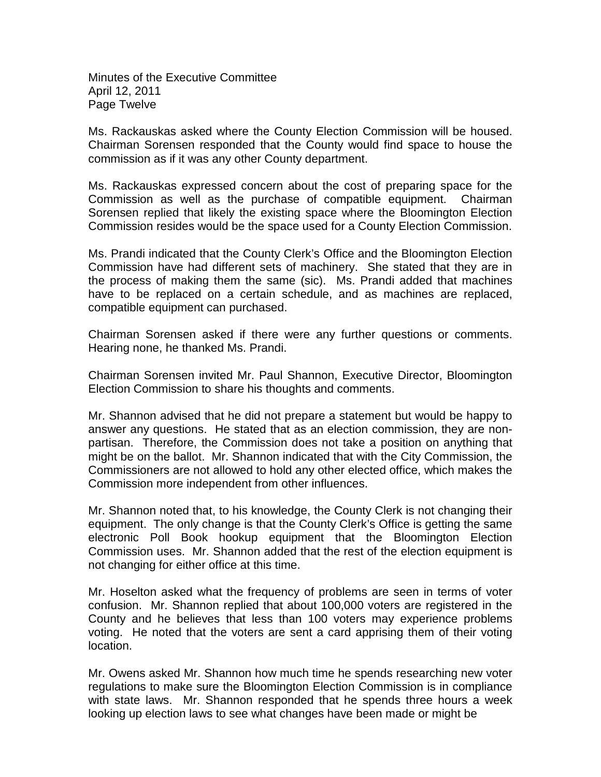Minutes of the Executive Committee April 12, 2011 Page Twelve

Ms. Rackauskas asked where the County Election Commission will be housed. Chairman Sorensen responded that the County would find space to house the commission as if it was any other County department.

Ms. Rackauskas expressed concern about the cost of preparing space for the Commission as well as the purchase of compatible equipment. Chairman Sorensen replied that likely the existing space where the Bloomington Election Commission resides would be the space used for a County Election Commission.

Ms. Prandi indicated that the County Clerk's Office and the Bloomington Election Commission have had different sets of machinery. She stated that they are in the process of making them the same (sic). Ms. Prandi added that machines have to be replaced on a certain schedule, and as machines are replaced, compatible equipment can purchased.

Chairman Sorensen asked if there were any further questions or comments. Hearing none, he thanked Ms. Prandi.

Chairman Sorensen invited Mr. Paul Shannon, Executive Director, Bloomington Election Commission to share his thoughts and comments.

Mr. Shannon advised that he did not prepare a statement but would be happy to answer any questions. He stated that as an election commission, they are nonpartisan. Therefore, the Commission does not take a position on anything that might be on the ballot. Mr. Shannon indicated that with the City Commission, the Commissioners are not allowed to hold any other elected office, which makes the Commission more independent from other influences.

Mr. Shannon noted that, to his knowledge, the County Clerk is not changing their equipment. The only change is that the County Clerk's Office is getting the same electronic Poll Book hookup equipment that the Bloomington Election Commission uses. Mr. Shannon added that the rest of the election equipment is not changing for either office at this time.

Mr. Hoselton asked what the frequency of problems are seen in terms of voter confusion. Mr. Shannon replied that about 100,000 voters are registered in the County and he believes that less than 100 voters may experience problems voting. He noted that the voters are sent a card apprising them of their voting location.

Mr. Owens asked Mr. Shannon how much time he spends researching new voter regulations to make sure the Bloomington Election Commission is in compliance with state laws. Mr. Shannon responded that he spends three hours a week looking up election laws to see what changes have been made or might be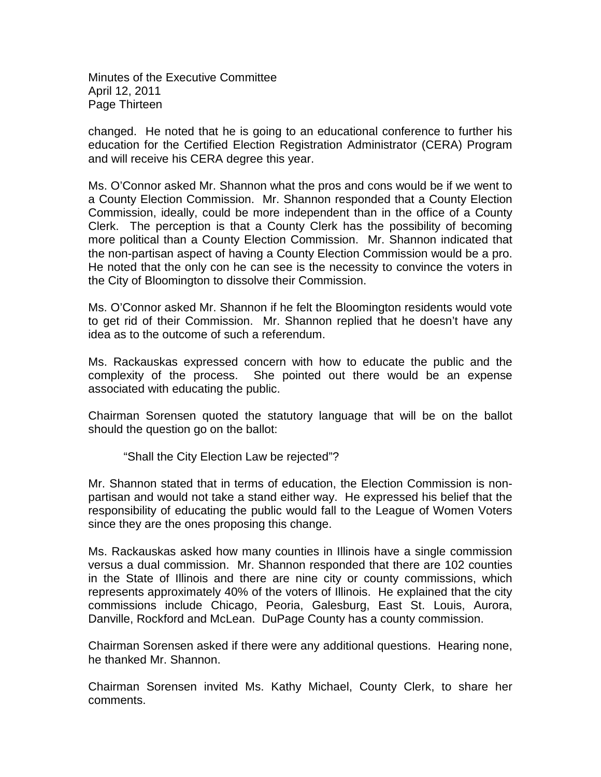Minutes of the Executive Committee April 12, 2011 Page Thirteen

changed. He noted that he is going to an educational conference to further his education for the Certified Election Registration Administrator (CERA) Program and will receive his CERA degree this year.

Ms. O'Connor asked Mr. Shannon what the pros and cons would be if we went to a County Election Commission. Mr. Shannon responded that a County Election Commission, ideally, could be more independent than in the office of a County Clerk. The perception is that a County Clerk has the possibility of becoming more political than a County Election Commission. Mr. Shannon indicated that the non-partisan aspect of having a County Election Commission would be a pro. He noted that the only con he can see is the necessity to convince the voters in the City of Bloomington to dissolve their Commission.

Ms. O'Connor asked Mr. Shannon if he felt the Bloomington residents would vote to get rid of their Commission. Mr. Shannon replied that he doesn't have any idea as to the outcome of such a referendum.

Ms. Rackauskas expressed concern with how to educate the public and the complexity of the process. She pointed out there would be an expense associated with educating the public.

Chairman Sorensen quoted the statutory language that will be on the ballot should the question go on the ballot:

"Shall the City Election Law be rejected"?

Mr. Shannon stated that in terms of education, the Election Commission is nonpartisan and would not take a stand either way. He expressed his belief that the responsibility of educating the public would fall to the League of Women Voters since they are the ones proposing this change.

Ms. Rackauskas asked how many counties in Illinois have a single commission versus a dual commission. Mr. Shannon responded that there are 102 counties in the State of Illinois and there are nine city or county commissions, which represents approximately 40% of the voters of Illinois. He explained that the city commissions include Chicago, Peoria, Galesburg, East St. Louis, Aurora, Danville, Rockford and McLean. DuPage County has a county commission.

Chairman Sorensen asked if there were any additional questions. Hearing none, he thanked Mr. Shannon.

Chairman Sorensen invited Ms. Kathy Michael, County Clerk, to share her comments.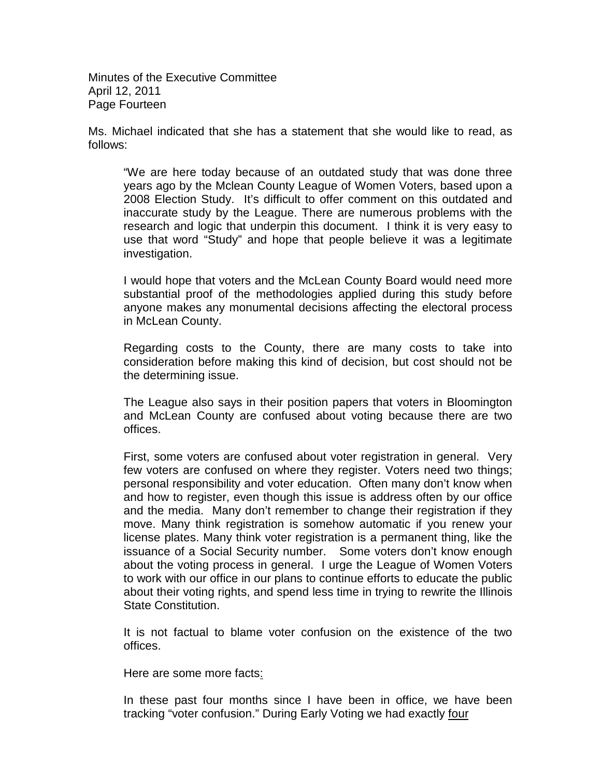Minutes of the Executive Committee April 12, 2011 Page Fourteen

Ms. Michael indicated that she has a statement that she would like to read, as follows:

"We are here today because of an outdated study that was done three years ago by the Mclean County League of Women Voters, based upon a 2008 Election Study. It's difficult to offer comment on this outdated and inaccurate study by the League. There are numerous problems with the research and logic that underpin this document. I think it is very easy to use that word "Study" and hope that people believe it was a legitimate investigation.

I would hope that voters and the McLean County Board would need more substantial proof of the methodologies applied during this study before anyone makes any monumental decisions affecting the electoral process in McLean County.

Regarding costs to the County, there are many costs to take into consideration before making this kind of decision, but cost should not be the determining issue.

The League also says in their position papers that voters in Bloomington and McLean County are confused about voting because there are two offices.

First, some voters are confused about voter registration in general. Very few voters are confused on where they register. Voters need two things; personal responsibility and voter education. Often many don't know when and how to register, even though this issue is address often by our office and the media. Many don't remember to change their registration if they move. Many think registration is somehow automatic if you renew your license plates. Many think voter registration is a permanent thing, like the issuance of a Social Security number. Some voters don't know enough about the voting process in general. I urge the League of Women Voters to work with our office in our plans to continue efforts to educate the public about their voting rights, and spend less time in trying to rewrite the Illinois State Constitution.

It is not factual to blame voter confusion on the existence of the two offices.

Here are some more facts:

In these past four months since I have been in office, we have been tracking "voter confusion." During Early Voting we had exactly four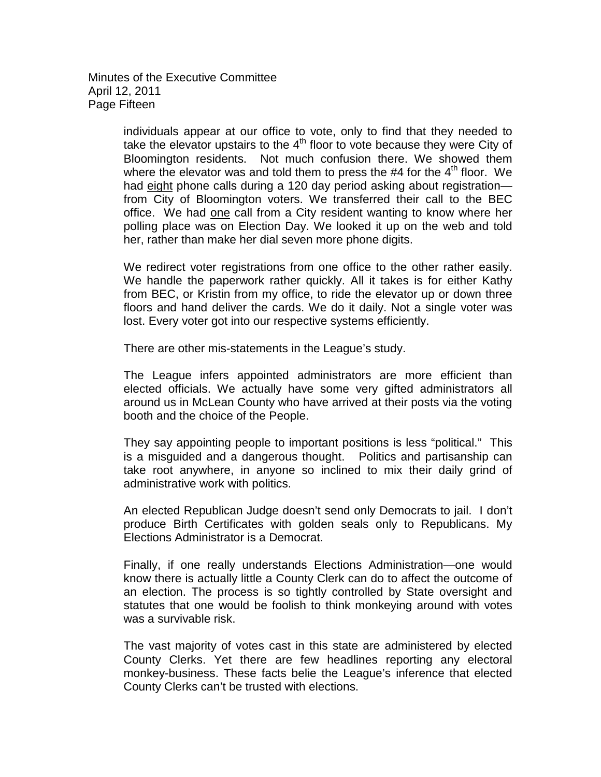Minutes of the Executive Committee April 12, 2011 Page Fifteen

> individuals appear at our office to vote, only to find that they needed to take the elevator upstairs to the  $4<sup>th</sup>$  floor to vote because they were City of Bloomington residents. Not much confusion there. We showed them where the elevator was and told them to press the  $#4$  for the  $4<sup>th</sup>$  floor. We had eight phone calls during a 120 day period asking about registration from City of Bloomington voters. We transferred their call to the BEC office. We had one call from a City resident wanting to know where her polling place was on Election Day. We looked it up on the web and told her, rather than make her dial seven more phone digits.

> We redirect voter registrations from one office to the other rather easily. We handle the paperwork rather quickly. All it takes is for either Kathy from BEC, or Kristin from my office, to ride the elevator up or down three floors and hand deliver the cards. We do it daily. Not a single voter was lost. Every voter got into our respective systems efficiently.

There are other mis-statements in the League's study.

The League infers appointed administrators are more efficient than elected officials. We actually have some very gifted administrators all around us in McLean County who have arrived at their posts via the voting booth and the choice of the People.

They say appointing people to important positions is less "political." This is a misguided and a dangerous thought. Politics and partisanship can take root anywhere, in anyone so inclined to mix their daily grind of administrative work with politics.

An elected Republican Judge doesn't send only Democrats to jail. I don't produce Birth Certificates with golden seals only to Republicans. My Elections Administrator is a Democrat.

Finally, if one really understands Elections Administration—one would know there is actually little a County Clerk can do to affect the outcome of an election. The process is so tightly controlled by State oversight and statutes that one would be foolish to think monkeying around with votes was a survivable risk.

The vast majority of votes cast in this state are administered by elected County Clerks. Yet there are few headlines reporting any electoral monkey-business. These facts belie the League's inference that elected County Clerks can't be trusted with elections.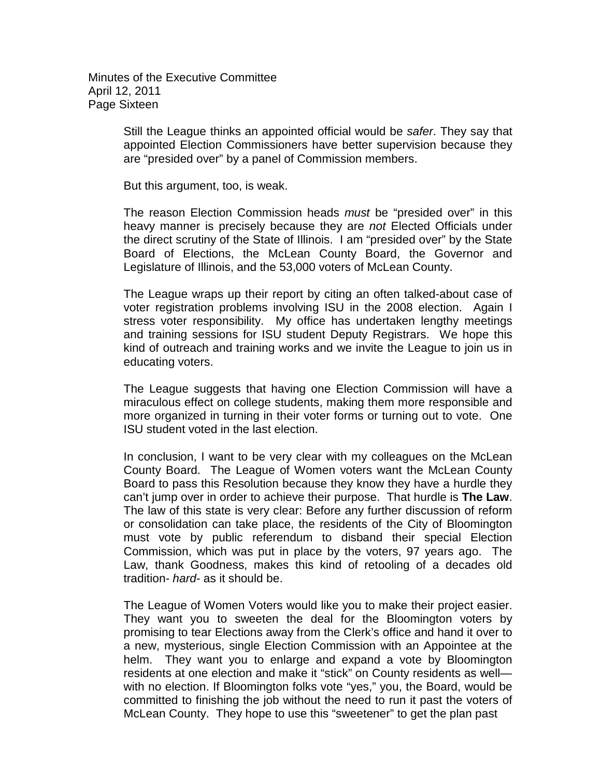Minutes of the Executive Committee April 12, 2011 Page Sixteen

> Still the League thinks an appointed official would be *safer*. They say that appointed Election Commissioners have better supervision because they are "presided over" by a panel of Commission members.

But this argument, too, is weak.

The reason Election Commission heads *must* be "presided over" in this heavy manner is precisely because they are *not* Elected Officials under the direct scrutiny of the State of Illinois. I am "presided over" by the State Board of Elections, the McLean County Board, the Governor and Legislature of Illinois, and the 53,000 voters of McLean County.

The League wraps up their report by citing an often talked-about case of voter registration problems involving ISU in the 2008 election. Again I stress voter responsibility. My office has undertaken lengthy meetings and training sessions for ISU student Deputy Registrars. We hope this kind of outreach and training works and we invite the League to join us in educating voters.

The League suggests that having one Election Commission will have a miraculous effect on college students, making them more responsible and more organized in turning in their voter forms or turning out to vote. One ISU student voted in the last election.

In conclusion, I want to be very clear with my colleagues on the McLean County Board. The League of Women voters want the McLean County Board to pass this Resolution because they know they have a hurdle they can't jump over in order to achieve their purpose. That hurdle is **The Law**. The law of this state is very clear: Before any further discussion of reform or consolidation can take place, the residents of the City of Bloomington must vote by public referendum to disband their special Election Commission, which was put in place by the voters, 97 years ago. The Law, thank Goodness, makes this kind of retooling of a decades old tradition- *hard*- as it should be.

The League of Women Voters would like you to make their project easier. They want you to sweeten the deal for the Bloomington voters by promising to tear Elections away from the Clerk's office and hand it over to a new, mysterious, single Election Commission with an Appointee at the helm. They want you to enlarge and expand a vote by Bloomington residents at one election and make it "stick" on County residents as well with no election. If Bloomington folks vote "yes," you, the Board, would be committed to finishing the job without the need to run it past the voters of McLean County. They hope to use this "sweetener" to get the plan past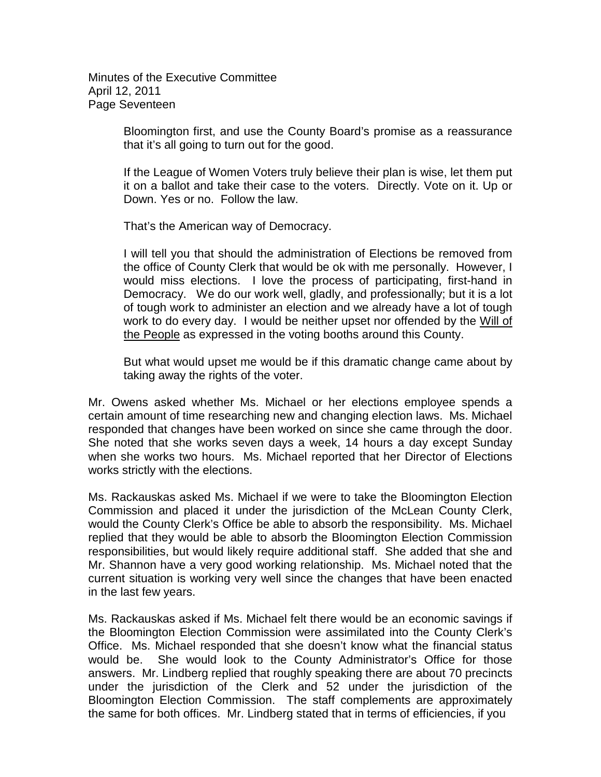Minutes of the Executive Committee April 12, 2011 Page Seventeen

> Bloomington first, and use the County Board's promise as a reassurance that it's all going to turn out for the good.

> If the League of Women Voters truly believe their plan is wise, let them put it on a ballot and take their case to the voters. Directly. Vote on it. Up or Down. Yes or no. Follow the law.

That's the American way of Democracy.

I will tell you that should the administration of Elections be removed from the office of County Clerk that would be ok with me personally. However, I would miss elections. I love the process of participating, first-hand in Democracy. We do our work well, gladly, and professionally; but it is a lot of tough work to administer an election and we already have a lot of tough work to do every day. I would be neither upset nor offended by the Will of the People as expressed in the voting booths around this County.

But what would upset me would be if this dramatic change came about by taking away the rights of the voter.

Mr. Owens asked whether Ms. Michael or her elections employee spends a certain amount of time researching new and changing election laws. Ms. Michael responded that changes have been worked on since she came through the door. She noted that she works seven days a week, 14 hours a day except Sunday when she works two hours. Ms. Michael reported that her Director of Elections works strictly with the elections.

Ms. Rackauskas asked Ms. Michael if we were to take the Bloomington Election Commission and placed it under the jurisdiction of the McLean County Clerk, would the County Clerk's Office be able to absorb the responsibility. Ms. Michael replied that they would be able to absorb the Bloomington Election Commission responsibilities, but would likely require additional staff. She added that she and Mr. Shannon have a very good working relationship. Ms. Michael noted that the current situation is working very well since the changes that have been enacted in the last few years.

Ms. Rackauskas asked if Ms. Michael felt there would be an economic savings if the Bloomington Election Commission were assimilated into the County Clerk's Office. Ms. Michael responded that she doesn't know what the financial status would be. She would look to the County Administrator's Office for those answers. Mr. Lindberg replied that roughly speaking there are about 70 precincts under the jurisdiction of the Clerk and 52 under the jurisdiction of the Bloomington Election Commission. The staff complements are approximately the same for both offices. Mr. Lindberg stated that in terms of efficiencies, if you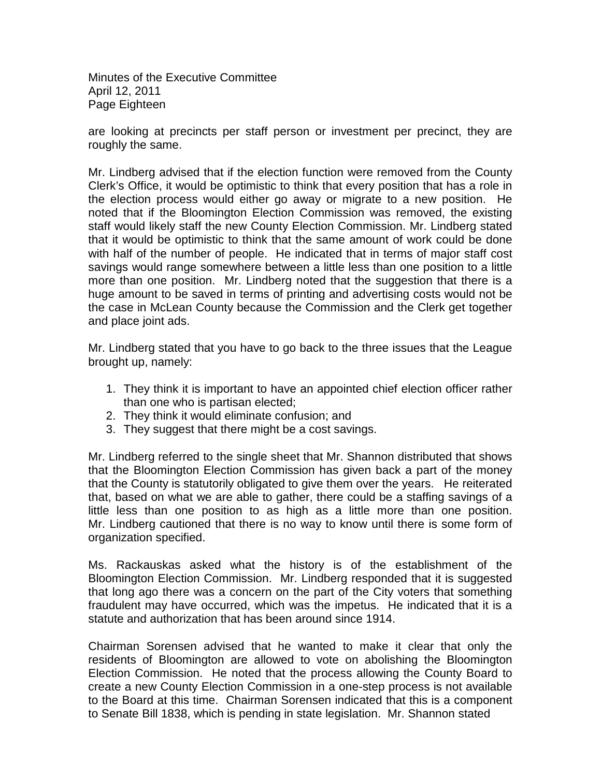Minutes of the Executive Committee April 12, 2011 Page Eighteen

are looking at precincts per staff person or investment per precinct, they are roughly the same.

Mr. Lindberg advised that if the election function were removed from the County Clerk's Office, it would be optimistic to think that every position that has a role in the election process would either go away or migrate to a new position. He noted that if the Bloomington Election Commission was removed, the existing staff would likely staff the new County Election Commission. Mr. Lindberg stated that it would be optimistic to think that the same amount of work could be done with half of the number of people. He indicated that in terms of major staff cost savings would range somewhere between a little less than one position to a little more than one position. Mr. Lindberg noted that the suggestion that there is a huge amount to be saved in terms of printing and advertising costs would not be the case in McLean County because the Commission and the Clerk get together and place joint ads.

Mr. Lindberg stated that you have to go back to the three issues that the League brought up, namely:

- 1. They think it is important to have an appointed chief election officer rather than one who is partisan elected;
- 2. They think it would eliminate confusion; and
- 3. They suggest that there might be a cost savings.

Mr. Lindberg referred to the single sheet that Mr. Shannon distributed that shows that the Bloomington Election Commission has given back a part of the money that the County is statutorily obligated to give them over the years. He reiterated that, based on what we are able to gather, there could be a staffing savings of a little less than one position to as high as a little more than one position. Mr. Lindberg cautioned that there is no way to know until there is some form of organization specified.

Ms. Rackauskas asked what the history is of the establishment of the Bloomington Election Commission. Mr. Lindberg responded that it is suggested that long ago there was a concern on the part of the City voters that something fraudulent may have occurred, which was the impetus. He indicated that it is a statute and authorization that has been around since 1914.

Chairman Sorensen advised that he wanted to make it clear that only the residents of Bloomington are allowed to vote on abolishing the Bloomington Election Commission. He noted that the process allowing the County Board to create a new County Election Commission in a one-step process is not available to the Board at this time. Chairman Sorensen indicated that this is a component to Senate Bill 1838, which is pending in state legislation. Mr. Shannon stated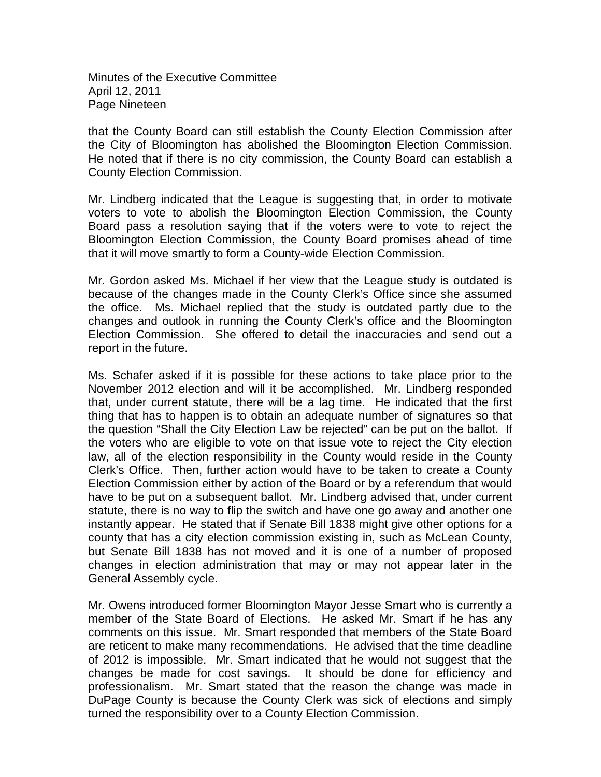Minutes of the Executive Committee April 12, 2011 Page Nineteen

that the County Board can still establish the County Election Commission after the City of Bloomington has abolished the Bloomington Election Commission. He noted that if there is no city commission, the County Board can establish a County Election Commission.

Mr. Lindberg indicated that the League is suggesting that, in order to motivate voters to vote to abolish the Bloomington Election Commission, the County Board pass a resolution saying that if the voters were to vote to reject the Bloomington Election Commission, the County Board promises ahead of time that it will move smartly to form a County-wide Election Commission.

Mr. Gordon asked Ms. Michael if her view that the League study is outdated is because of the changes made in the County Clerk's Office since she assumed the office. Ms. Michael replied that the study is outdated partly due to the changes and outlook in running the County Clerk's office and the Bloomington Election Commission. She offered to detail the inaccuracies and send out a report in the future.

Ms. Schafer asked if it is possible for these actions to take place prior to the November 2012 election and will it be accomplished. Mr. Lindberg responded that, under current statute, there will be a lag time. He indicated that the first thing that has to happen is to obtain an adequate number of signatures so that the question "Shall the City Election Law be rejected" can be put on the ballot. If the voters who are eligible to vote on that issue vote to reject the City election law, all of the election responsibility in the County would reside in the County Clerk's Office. Then, further action would have to be taken to create a County Election Commission either by action of the Board or by a referendum that would have to be put on a subsequent ballot. Mr. Lindberg advised that, under current statute, there is no way to flip the switch and have one go away and another one instantly appear. He stated that if Senate Bill 1838 might give other options for a county that has a city election commission existing in, such as McLean County, but Senate Bill 1838 has not moved and it is one of a number of proposed changes in election administration that may or may not appear later in the General Assembly cycle.

Mr. Owens introduced former Bloomington Mayor Jesse Smart who is currently a member of the State Board of Elections. He asked Mr. Smart if he has any comments on this issue. Mr. Smart responded that members of the State Board are reticent to make many recommendations. He advised that the time deadline of 2012 is impossible. Mr. Smart indicated that he would not suggest that the changes be made for cost savings. It should be done for efficiency and professionalism. Mr. Smart stated that the reason the change was made in DuPage County is because the County Clerk was sick of elections and simply turned the responsibility over to a County Election Commission.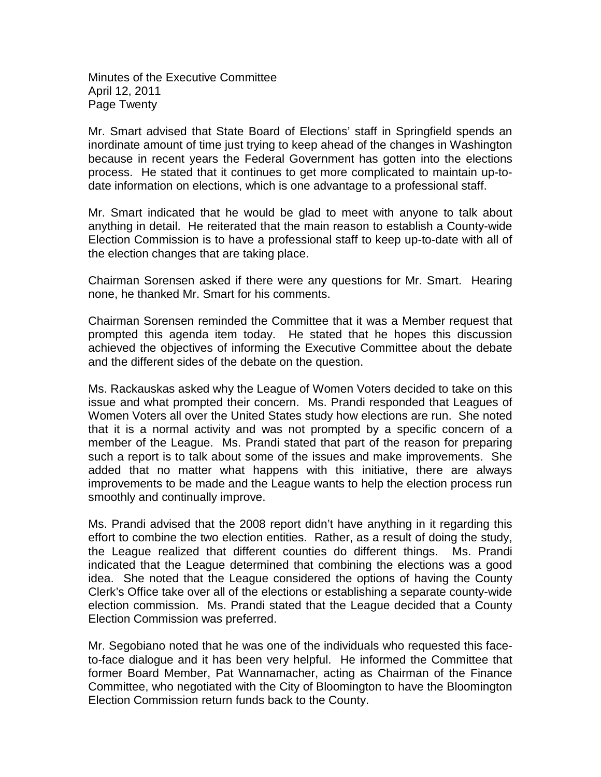Minutes of the Executive Committee April 12, 2011 Page Twenty

Mr. Smart advised that State Board of Elections' staff in Springfield spends an inordinate amount of time just trying to keep ahead of the changes in Washington because in recent years the Federal Government has gotten into the elections process. He stated that it continues to get more complicated to maintain up-todate information on elections, which is one advantage to a professional staff.

Mr. Smart indicated that he would be glad to meet with anyone to talk about anything in detail. He reiterated that the main reason to establish a County-wide Election Commission is to have a professional staff to keep up-to-date with all of the election changes that are taking place.

Chairman Sorensen asked if there were any questions for Mr. Smart. Hearing none, he thanked Mr. Smart for his comments.

Chairman Sorensen reminded the Committee that it was a Member request that prompted this agenda item today. He stated that he hopes this discussion achieved the objectives of informing the Executive Committee about the debate and the different sides of the debate on the question.

Ms. Rackauskas asked why the League of Women Voters decided to take on this issue and what prompted their concern. Ms. Prandi responded that Leagues of Women Voters all over the United States study how elections are run. She noted that it is a normal activity and was not prompted by a specific concern of a member of the League. Ms. Prandi stated that part of the reason for preparing such a report is to talk about some of the issues and make improvements. She added that no matter what happens with this initiative, there are always improvements to be made and the League wants to help the election process run smoothly and continually improve.

Ms. Prandi advised that the 2008 report didn't have anything in it regarding this effort to combine the two election entities. Rather, as a result of doing the study, the League realized that different counties do different things. Ms. Prandi indicated that the League determined that combining the elections was a good idea. She noted that the League considered the options of having the County Clerk's Office take over all of the elections or establishing a separate county-wide election commission. Ms. Prandi stated that the League decided that a County Election Commission was preferred.

Mr. Segobiano noted that he was one of the individuals who requested this faceto-face dialogue and it has been very helpful. He informed the Committee that former Board Member, Pat Wannamacher, acting as Chairman of the Finance Committee, who negotiated with the City of Bloomington to have the Bloomington Election Commission return funds back to the County.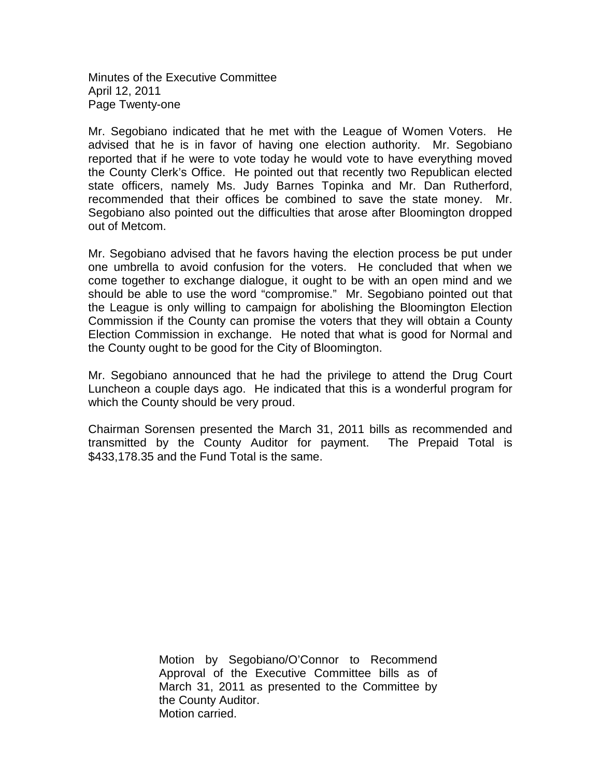Minutes of the Executive Committee April 12, 2011 Page Twenty-one

Mr. Segobiano indicated that he met with the League of Women Voters. He advised that he is in favor of having one election authority. Mr. Segobiano reported that if he were to vote today he would vote to have everything moved the County Clerk's Office. He pointed out that recently two Republican elected state officers, namely Ms. Judy Barnes Topinka and Mr. Dan Rutherford, recommended that their offices be combined to save the state money. Mr. Segobiano also pointed out the difficulties that arose after Bloomington dropped out of Metcom.

Mr. Segobiano advised that he favors having the election process be put under one umbrella to avoid confusion for the voters. He concluded that when we come together to exchange dialogue, it ought to be with an open mind and we should be able to use the word "compromise." Mr. Segobiano pointed out that the League is only willing to campaign for abolishing the Bloomington Election Commission if the County can promise the voters that they will obtain a County Election Commission in exchange. He noted that what is good for Normal and the County ought to be good for the City of Bloomington.

Mr. Segobiano announced that he had the privilege to attend the Drug Court Luncheon a couple days ago. He indicated that this is a wonderful program for which the County should be very proud.

Chairman Sorensen presented the March 31, 2011 bills as recommended and transmitted by the County Auditor for payment. The Prepaid Total is \$433,178.35 and the Fund Total is the same.

> Motion by Segobiano/O'Connor to Recommend Approval of the Executive Committee bills as of March 31, 2011 as presented to the Committee by the County Auditor. Motion carried.